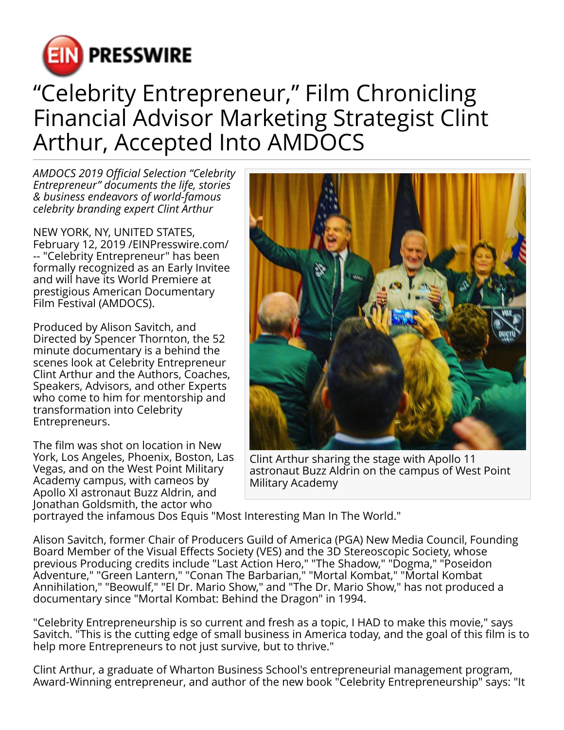

## "Celebrity Entrepreneur," Film Chronicling Financial Advisor Marketing Strategist Clint Arthur, Accepted Into AMDOCS

*AMDOCS 2019 Official Selection "Celebrity Entrepreneur" documents the life, stories & business endeavors of world-famous celebrity branding expert Clint Arthur*

NEW YORK, NY, UNITED STATES, February 12, 2019 /[EINPresswire.com](http://www.einpresswire.com)/ -- "Celebrity Entrepreneur" has been formally recognized as an Early Invitee and will have its World Premiere at prestigious American Documentary Film Festival (AMDOCS).

Produced by Alison Savitch, and Directed by Spencer Thornton, the 52 minute documentary is a behind the scenes look at Celebrity Entrepreneur Clint Arthur and the Authors, Coaches, Speakers, Advisors, and other Experts who come to him for mentorship and transformation into Celebrity Entrepreneurs.

The film was shot on location in New York, Los Angeles, Phoenix, Boston, Las Vegas, and on the West Point Military Academy campus, with cameos by Apollo XI astronaut Buzz Aldrin, and Jonathan Goldsmith, the actor who



Clint Arthur sharing the stage with Apollo 11 astronaut Buzz Aldrin on the campus of West Point Military Academy

portrayed the infamous Dos Equis "Most Interesting Man In The World."

Alison Savitch, former Chair of Producers Guild of America (PGA) New Media Council, Founding Board Member of the Visual Effects Society (VES) and the 3D Stereoscopic Society, whose previous Producing credits include "Last Action Hero," "The Shadow," "Dogma," "Poseidon Adventure," "Green Lantern," "Conan The Barbarian," "Mortal Kombat," "Mortal Kombat Annihilation," "Beowulf," "El Dr. Mario Show," and "The Dr. Mario Show," has not produced a documentary since "Mortal Kombat: Behind the Dragon" in 1994.

"Celebrity Entrepreneurship is so current and fresh as a topic, I HAD to make this movie," says Savitch. "This is the cutting edge of small business in America today, and the goal of this film is to help more Entrepreneurs to not just survive, but to thrive."

Clint Arthur, a graduate of Wharton Business School's entrepreneurial management program, Award-Winning entrepreneur, and author of the new book "Celebrity Entrepreneurship" says: "It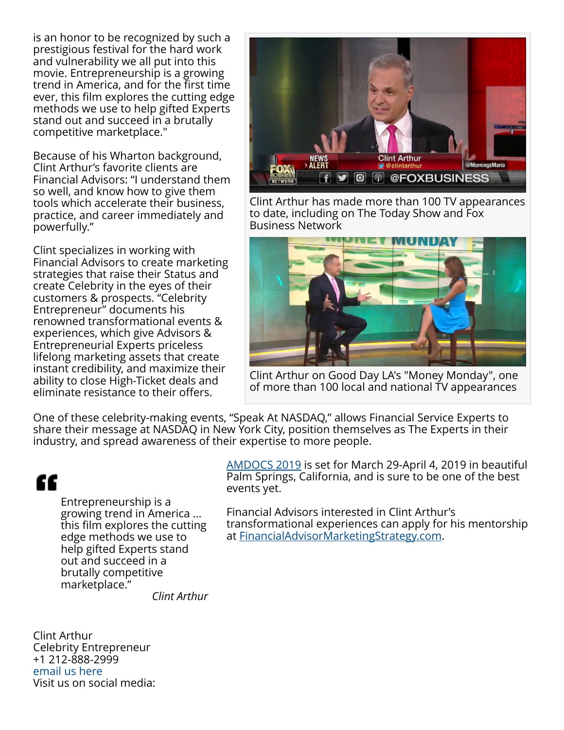is an honor to be recognized by such a prestigious festival for the hard work and vulnerability we all put into this movie. Entrepreneurship is a growing trend in America, and for the first time ever, this film explores the cutting edge methods we use to help gifted Experts stand out and succeed in a brutally competitive marketplace."

Because of his Wharton background, Clint Arthur's favorite clients are Financial Advisors: "I understand them so well, and know how to give them tools which accelerate their business, practice, and career immediately and powerfully."

Clint specializes in working with Financial Advisors to create marketing strategies that raise their Status and create Celebrity in the eyes of their customers & prospects. "Celebrity Entrepreneur" documents his renowned transformational events & experiences, which give Advisors & Entrepreneurial Experts priceless lifelong marketing assets that create instant credibility, and maximize their ability to close High-Ticket deals and eliminate resistance to their offers.



Clint Arthur has made more than 100 TV appearances to date, including on The Today Show and Fox Business Network



Clint Arthur on Good Day LA's "Money Monday", one of more than 100 local and national TV appearances

One of these celebrity-making events, "Speak At NASDAQ," allows Financial Service Experts to share their message at NASDAQ in New York City, position themselves as The Experts in their industry, and spread awareness of their expertise to more people.

## ££

Entrepreneurship is a growing trend in America ... this film explores the cutting edge methods we use to help gifted Experts stand out and succeed in a brutally competitive marketplace."

[AMDOCS 2019](https://www.americandocumentaryfilmfestival.com/) is set for March 29-April 4, 2019 in beautiful Palm Springs, California, and is sure to be one of the best events yet.

Financial Advisors interested in Clint Arthur's transformational experiences can apply for his mentorship at [FinancialAdvisorMarketingStrategy.com.](https://financialadvisormarketingstrategy.com)

*Clint Arthur*

Clint Arthur Celebrity Entrepreneur +1 212-888-2999 [email us here](http://www.einpresswire.com/contact_author/2600256) Visit us on social media: